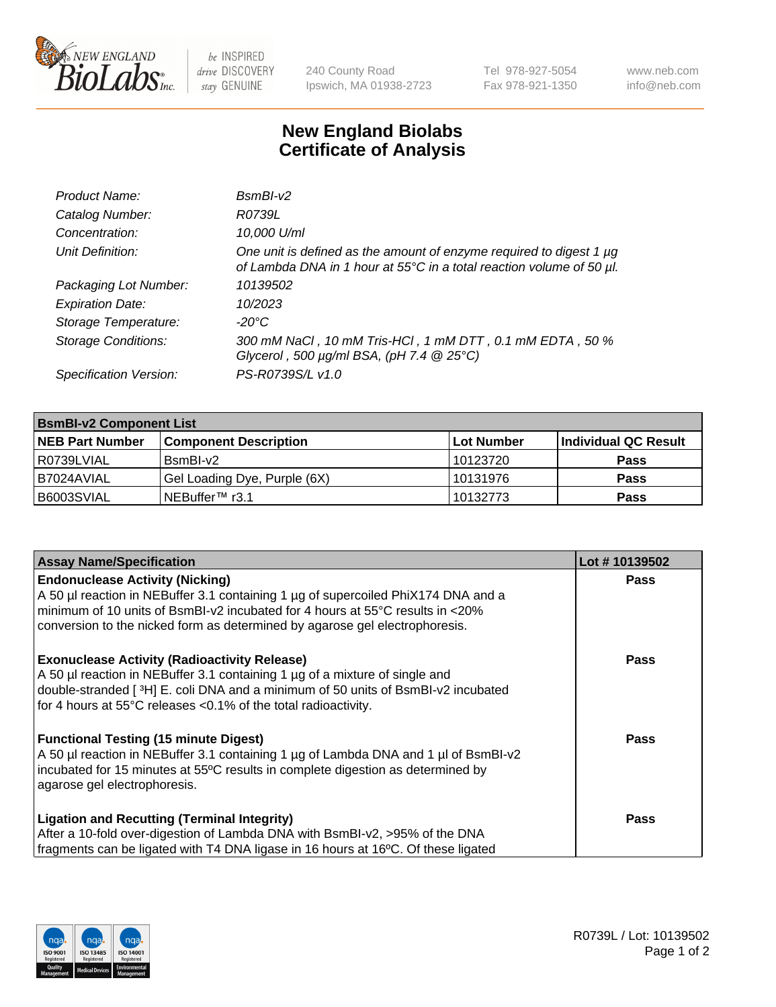

be INSPIRED drive DISCOVERY stay GENUINE

240 County Road Ipswich, MA 01938-2723 Tel 978-927-5054 Fax 978-921-1350 www.neb.com info@neb.com

## **New England Biolabs Certificate of Analysis**

| Product Name:              | $BsmBI-v2$                                                                                                                                  |
|----------------------------|---------------------------------------------------------------------------------------------------------------------------------------------|
| Catalog Number:            | R0739L                                                                                                                                      |
| Concentration:             | 10,000 U/ml                                                                                                                                 |
| Unit Definition:           | One unit is defined as the amount of enzyme required to digest 1 µg<br>of Lambda DNA in 1 hour at 55°C in a total reaction volume of 50 µl. |
| Packaging Lot Number:      | 10139502                                                                                                                                    |
| <b>Expiration Date:</b>    | 10/2023                                                                                                                                     |
| Storage Temperature:       | $-20^{\circ}$ C                                                                                                                             |
| <b>Storage Conditions:</b> | 300 mM NaCl, 10 mM Tris-HCl, 1 mM DTT, 0.1 mM EDTA, 50 %<br>Glycerol, 500 $\mu$ g/ml BSA, (pH 7.4 $@25°C$ )                                 |
| Specification Version:     | PS-R0739S/L v1.0                                                                                                                            |

| <b>BsmBI-v2 Component List</b> |                              |                   |                      |  |  |
|--------------------------------|------------------------------|-------------------|----------------------|--|--|
| <b>NEB Part Number</b>         | <b>Component Description</b> | <b>Lot Number</b> | Individual QC Result |  |  |
| R0739LVIAL                     | BsmBI-v2                     | 10123720          | <b>Pass</b>          |  |  |
| B7024AVIAL                     | Gel Loading Dye, Purple (6X) | 10131976          | <b>Pass</b>          |  |  |
| B6003SVIAL                     | INEBuffer™ r3.1              | 10132773          | <b>Pass</b>          |  |  |

| <b>Assay Name/Specification</b>                                                     | Lot #10139502 |
|-------------------------------------------------------------------------------------|---------------|
| <b>Endonuclease Activity (Nicking)</b>                                              | <b>Pass</b>   |
| A 50 µl reaction in NEBuffer 3.1 containing 1 µg of supercoiled PhiX174 DNA and a   |               |
| minimum of 10 units of BsmBI-v2 incubated for 4 hours at 55°C results in <20%       |               |
| conversion to the nicked form as determined by agarose gel electrophoresis.         |               |
| <b>Exonuclease Activity (Radioactivity Release)</b>                                 | <b>Pass</b>   |
| A 50 µl reaction in NEBuffer 3.1 containing 1 µg of a mixture of single and         |               |
| double-stranded [3H] E. coli DNA and a minimum of 50 units of BsmBI-v2 incubated    |               |
| for 4 hours at 55°C releases <0.1% of the total radioactivity.                      |               |
| <b>Functional Testing (15 minute Digest)</b>                                        | Pass          |
| A 50 µl reaction in NEBuffer 3.1 containing 1 µg of Lambda DNA and 1 µl of BsmBI-v2 |               |
| incubated for 15 minutes at 55°C results in complete digestion as determined by     |               |
| agarose gel electrophoresis.                                                        |               |
| <b>Ligation and Recutting (Terminal Integrity)</b>                                  | <b>Pass</b>   |
| After a 10-fold over-digestion of Lambda DNA with BsmBI-v2, >95% of the DNA         |               |
| fragments can be ligated with T4 DNA ligase in 16 hours at 16°C. Of these ligated   |               |